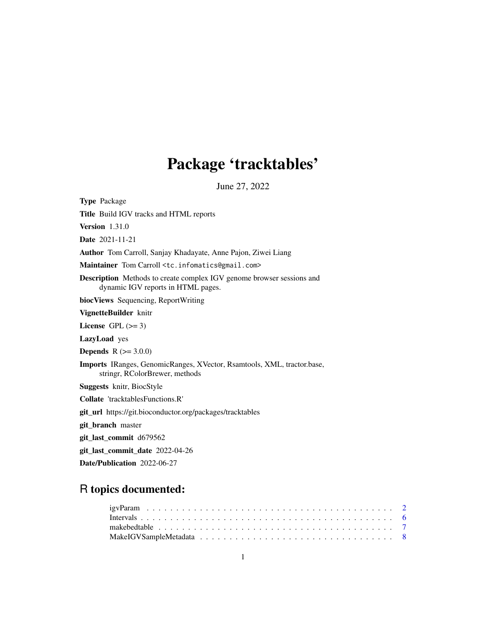# Package 'tracktables'

June 27, 2022

Type Package Title Build IGV tracks and HTML reports Version 1.31.0 Date 2021-11-21 Author Tom Carroll, Sanjay Khadayate, Anne Pajon, Ziwei Liang Maintainer Tom Carroll <tc.infomatics@gmail.com> Description Methods to create complex IGV genome browser sessions and dynamic IGV reports in HTML pages. biocViews Sequencing, ReportWriting VignetteBuilder knitr License GPL  $(>= 3)$ LazyLoad yes **Depends**  $R (= 3.0.0)$ Imports IRanges, GenomicRanges, XVector, Rsamtools, XML, tractor.base, stringr, RColorBrewer, methods Suggests knitr, BiocStyle Collate 'tracktablesFunctions.R' git\_url https://git.bioconductor.org/packages/tracktables git\_branch master git\_last\_commit d679562 git\_last\_commit\_date 2022-04-26

Date/Publication 2022-06-27

## R topics documented: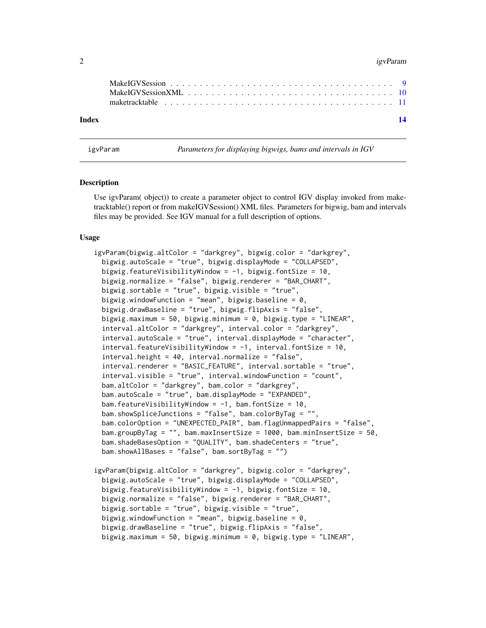#### <span id="page-1-0"></span> $2$  igvParam

| Index | 14 |  |
|-------|----|--|

igvParam *Parameters for displaying bigwigs, bams and intervals in IGV*

#### Description

Use igvParam( object)) to create a parameter object to control IGV display invoked from maketracktable() report or from makeIGVSession() XML files. Parameters for bigwig, bam and intervals files may be provided. See IGV manual for a full description of options.

#### Usage

```
igvParam(bigwig.altColor = "darkgrey", bigwig.color = "darkgrey",
 bigwig.autoScale = "true", bigwig.displayMode = "COLLAPSED",
 bigwig.featureVisibilityWindow = -1, bigwig.fontSize = 10,
 bigwig.normalize = "false", bigwig.renderer = "BAR_CHART",
 bigwig.sortable = "true", bigwig.visible = "true",
 bigwig.windowFunction = "mean", bigwig.baseline = 0,
 bigwig.drawBaseline = "true", bigwig.flipAxis = "false",
 bigwig.maximum = 50, bigwig.minimum = 0, bigwig.type = "LINEAR",
 interval.altColor = "darkgrey", interval.color = "darkgrey",
 interval.autoScale = "true", interval.displayMode = "character",
 interval.featureVisibilityWindow = -1, interval.fontSize = 10,interval.height = 40, interval.normalize = "false",
 interval.renderer = "BASIC_FEATURE", interval.sortable = "true",
 interval.visible = "true", interval.windowFunction = "count",
 bam.altColor = "darkgrey", bam.color = "darkgrey",
 bam.autoScale = "true", bam.displayMode = "EXPANDED",
 bam.featureVisibilityWindow = -1, bam.fontSize = 10,
 bam.showSpliceJunctions = "false", bam.colorByTag = "",
 bam.colorOption = "UNEXPECTED_PAIR", bam.flagUnmappedPairs = "false",
 bam.groupByTag = "", bam.maxInsertSize = 1000, bam.minInsertSize = 50,
 bam.shadeBasesOption = "QUALITY", bam.shadeCenters = "true",
 bam.showAllBases = "false", bam.sortByTag = "")
igvParam(bigwig.altColor = "darkgrey", bigwig.color = "darkgrey",
 bigwig.autoScale = "true", bigwig.displayMode = "COLLAPSED",
 bigwig.featureVisibilityWindow = -1, bigwig.fontSize = 10,
 bigwig.normalize = "false", bigwig.renderer = "BAR_CHART",
 bigwig.sortable = "true", bigwig.visible = "true",
 bigwig.windowFunction = "mean", bigwig.baseline = 0,
```
bigwig.drawBaseline = "true", bigwig.flipAxis = "false",

```
bigwig.maximum = 50, bigwig.minimum = 0, bigwig.type = "LINEAR",
```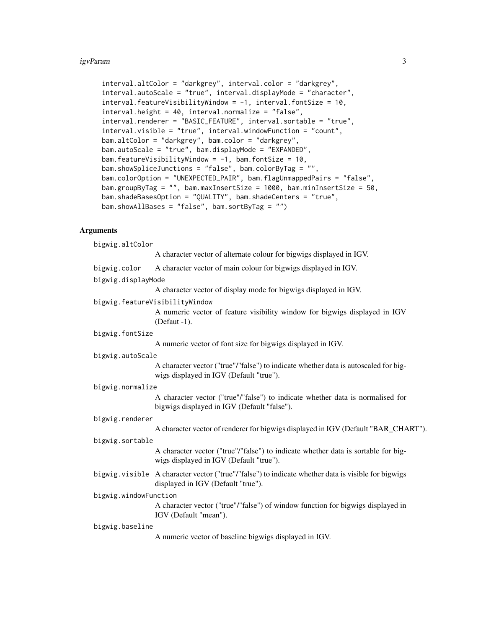#### igvParam 3

```
interval.altColor = "darkgrey", interval.color = "darkgrey",
interval.autoScale = "true", interval.displayMode = "character",
interval.featureVisibilityWindow = -1, interval.fontSize = 10,interval.height = 40, interval.normalize = "false",
interval.renderer = "BASIC_FEATURE", interval.sortable = "true",
interval.visible = "true", interval.windowFunction = "count",
bam.altColor = "darkgrey", bam.color = "darkgrey",
bam.autoScale = "true", bam.displayMode = "EXPANDED",
bam.featureVisibilityWindow = -1, bam.fontSize = 10,
bam.showSpliceJunctions = "false", bam.colorByTag = "",
bam.colorOption = "UNEXPECTED_PAIR", bam.flagUnmappedPairs = "false",
bam.groupByTag = "", bam.maxInsertSize = 1000, bam.minInsertSize = 50,
bam.shadeBasesOption = "QUALITY", bam.shadeCenters = "true",
bam.showAllBases = "false", bam.sortByTag = "")
```
#### **Arguments**

bigwig.altColor A character vector of alternate colour for bigwigs displayed in IGV. bigwig.color A character vector of main colour for bigwigs displayed in IGV. bigwig.displayMode A character vector of display mode for bigwigs displayed in IGV. bigwig.featureVisibilityWindow A numeric vector of feature visibility window for bigwigs displayed in IGV (Defaut -1). bigwig.fontSize A numeric vector of font size for bigwigs displayed in IGV. bigwig.autoScale A character vector ("true"/"false") to indicate whether data is autoscaled for bigwigs displayed in IGV (Default "true"). bigwig.normalize A character vector ("true"/"false") to indicate whether data is normalised for bigwigs displayed in IGV (Default "false"). bigwig.renderer A character vector of renderer for bigwigs displayed in IGV (Default "BAR\_CHART"). bigwig.sortable A character vector ("true"/"false") to indicate whether data is sortable for bigwigs displayed in IGV (Default "true"). bigwig.visible A character vector ("true"/"false") to indicate whether data is visible for bigwigs displayed in IGV (Default "true"). bigwig.windowFunction A character vector ("true"/"false") of window function for bigwigs displayed in IGV (Default "mean"). bigwig.baseline A numeric vector of baseline bigwigs displayed in IGV.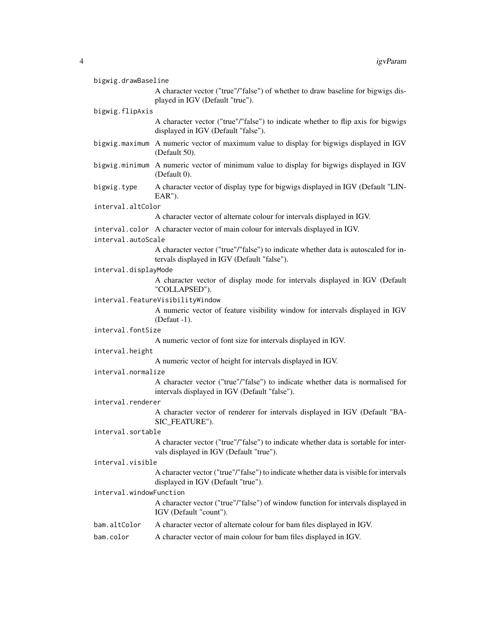| bigwig.drawBaseline     |                                                                                                                                   |
|-------------------------|-----------------------------------------------------------------------------------------------------------------------------------|
|                         | A character vector ("true"/"false") of whether to draw baseline for bigwigs dis-<br>played in IGV (Default "true").               |
| bigwig.flipAxis         |                                                                                                                                   |
|                         | A character vector ("true"/"false") to indicate whether to flip axis for bigwigs<br>displayed in IGV (Default "false").           |
|                         | bigwig.maximum A numeric vector of maximum value to display for bigwigs displayed in IGV<br>(Default 50).                         |
|                         | bigwig.minimum A numeric vector of minimum value to display for bigwigs displayed in IGV<br>(Default 0).                          |
| bigwig.type             | A character vector of display type for bigwigs displayed in IGV (Default "LIN-<br>EAR").                                          |
| interval.altColor       |                                                                                                                                   |
|                         | A character vector of alternate colour for intervals displayed in IGV.                                                            |
| interval.autoScale      | interval.color A character vector of main colour for intervals displayed in IGV.                                                  |
|                         | A character vector ("true"/"false") to indicate whether data is autoscaled for in-<br>tervals displayed in IGV (Default "false"). |
| interval.displayMode    |                                                                                                                                   |
|                         | A character vector of display mode for intervals displayed in IGV (Default<br>"COLLAPSED").                                       |
|                         | interval.featureVisibilityWindow                                                                                                  |
|                         | A numeric vector of feature visibility window for intervals displayed in IGV<br>(Defaut -1).                                      |
| interval.fontSize       |                                                                                                                                   |
|                         | A numeric vector of font size for intervals displayed in IGV.                                                                     |
| interval.height         |                                                                                                                                   |
|                         | A numeric vector of height for intervals displayed in IGV.                                                                        |
| interval.normalize      |                                                                                                                                   |
|                         | A character vector ("true"/"false") to indicate whether data is normalised for<br>intervals displayed in IGV (Default "false").   |
| interval.renderer       |                                                                                                                                   |
|                         | A character vector of renderer for intervals displayed in IGV (Default "BA-<br>SIC_FEATURE").                                     |
| interval.sortable       |                                                                                                                                   |
|                         | A character vector ("true"/"false") to indicate whether data is sortable for inter-<br>vals displayed in IGV (Default "true").    |
| interval.visible        |                                                                                                                                   |
|                         | A character vector ("true"/"false") to indicate whether data is visible for intervals<br>displayed in IGV (Default "true").       |
| interval.windowFunction |                                                                                                                                   |
|                         | A character vector ("true"/"false") of window function for intervals displayed in<br>IGV (Default "count").                       |
| bam.altColor            | A character vector of alternate colour for bam files displayed in IGV.                                                            |

bam.color A character vector of main colour for bam files displayed in IGV.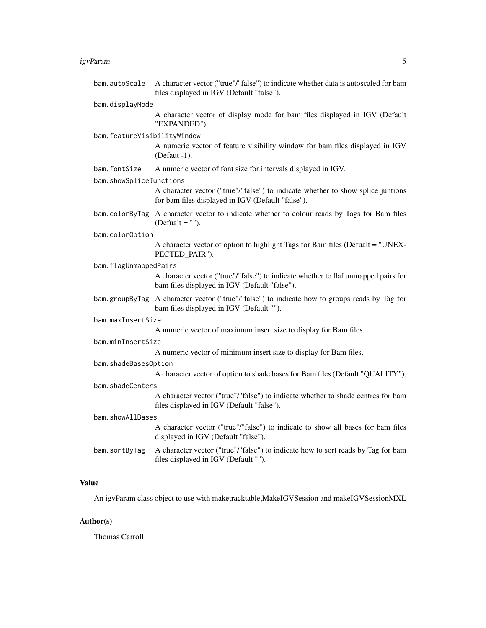#### igvParam 5

| bam.autoScale               | A character vector ("true"/"false") to indicate whether data is autoscaled for bam<br>files displayed in IGV (Default "false").           |
|-----------------------------|-------------------------------------------------------------------------------------------------------------------------------------------|
| bam.displayMode             |                                                                                                                                           |
|                             | A character vector of display mode for bam files displayed in IGV (Default<br>"EXPANDED").                                                |
| bam.featureVisibilityWindow |                                                                                                                                           |
|                             | A numeric vector of feature visibility window for bam files displayed in IGV<br>(Defaut -1).                                              |
| bam.fontSize                | A numeric vector of font size for intervals displayed in IGV.                                                                             |
| bam.showSpliceJunctions     |                                                                                                                                           |
|                             | A character vector ("true"/"false") to indicate whether to show splice juntions<br>for bam files displayed in IGV (Default "false").      |
|                             | bam.colorByTag A character vector to indicate whether to colour reads by Tags for Bam files<br>$(Default = "").$                          |
| bam.colorOption             |                                                                                                                                           |
|                             | A character vector of option to highlight Tags for Bam files (Defualt = "UNEX-<br>PECTED_PAIR").                                          |
| bam.flagUnmappedPairs       |                                                                                                                                           |
|                             | A character vector ("true"/"false") to indicate whether to flaf unmapped pairs for<br>bam files displayed in IGV (Default "false").       |
|                             | bam.groupByTag A character vector ("true"/"false") to indicate how to groups reads by Tag for<br>bam files displayed in IGV (Default ""). |
| bam.maxInsertSize           |                                                                                                                                           |
|                             | A numeric vector of maximum insert size to display for Bam files.                                                                         |
| bam.minInsertSize           |                                                                                                                                           |
|                             | A numeric vector of minimum insert size to display for Bam files.                                                                         |
| bam.shadeBasesOption        |                                                                                                                                           |
|                             | A character vector of option to shade bases for Bam files (Default "QUALITY").                                                            |
| bam.shadeCenters            |                                                                                                                                           |
|                             | A character vector ("true"/"false") to indicate whether to shade centres for bam<br>files displayed in IGV (Default "false").             |
| bam.showAllBases            |                                                                                                                                           |
|                             | A character vector ("true"/"false") to indicate to show all bases for bam files<br>displayed in IGV (Default "false").                    |
| bam.sortByTag               | A character vector ("true"/"false") to indicate how to sort reads by Tag for bam<br>files displayed in IGV (Default "").                  |
|                             |                                                                                                                                           |

#### Value

An igvParam class object to use with maketracktable,MakeIGVSession and makeIGVSessionMXL

### Author(s)

Thomas Carroll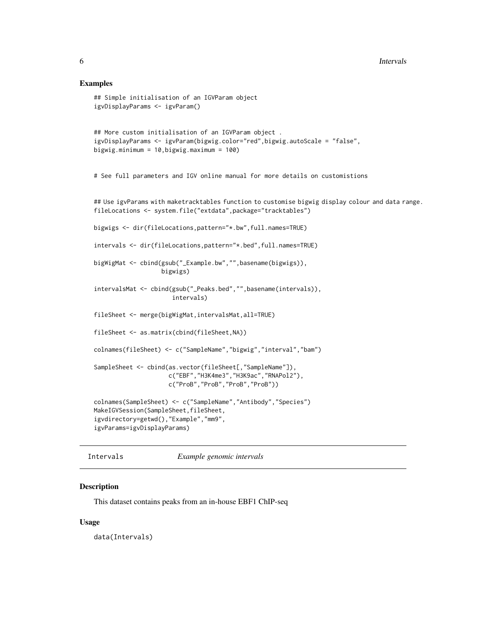#### Examples

```
## Simple initialisation of an IGVParam object
igvDisplayParams <- igvParam()
## More custom initialisation of an IGVParam object .
igvDisplayParams <- igvParam(bigwig.color="red",bigwig.autoScale = "false",
bigwig.minimum = 10,bigwig.maximum = 100)
# See full parameters and IGV online manual for more details on customistions
## Use igvParams with maketracktables function to customise bigwig display colour and data range.
fileLocations <- system.file("extdata",package="tracktables")
bigwigs <- dir(fileLocations,pattern="*.bw",full.names=TRUE)
intervals <- dir(fileLocations,pattern="*.bed",full.names=TRUE)
bigWigMat <- cbind(gsub("_Example.bw","",basename(bigwigs)),
                   bigwigs)
intervalsMat <- cbind(gsub("_Peaks.bed","",basename(intervals)),
                      intervals)
fileSheet <- merge(bigWigMat,intervalsMat,all=TRUE)
fileSheet <- as.matrix(cbind(fileSheet,NA))
colnames(fileSheet) <- c("SampleName","bigwig","interval","bam")
SampleSheet <- cbind(as.vector(fileSheet[,"SampleName"]),
                     c("EBF","H3K4me3","H3K9ac","RNAPol2"),
                     c("ProB","ProB","ProB","ProB"))
colnames(SampleSheet) <- c("SampleName","Antibody","Species")
MakeIGVSession(SampleSheet,fileSheet,
igvdirectory=getwd(),"Example","mm9",
igvParams=igvDisplayParams)
```
Intervals *Example genomic intervals*

#### Description

This dataset contains peaks from an in-house EBF1 ChIP-seq

#### Usage

data(Intervals)

<span id="page-5-0"></span>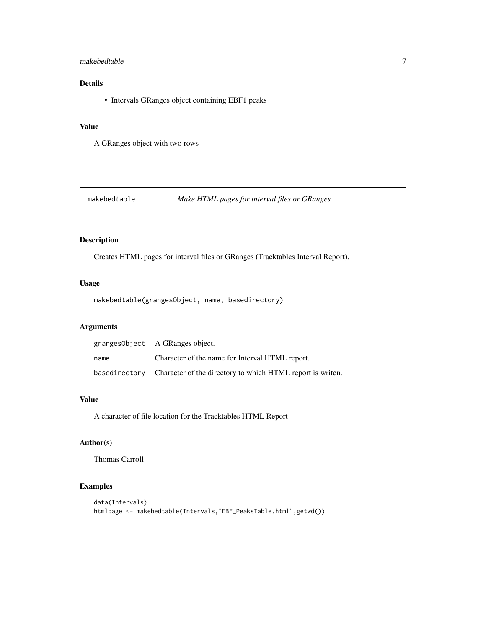#### <span id="page-6-0"></span>makebedtable 7

#### Details

• Intervals GRanges object containing EBF1 peaks

#### Value

A GRanges object with two rows

#### makebedtable *Make HTML pages for interval files or GRanges.*

#### Description

Creates HTML pages for interval files or GRanges (Tracktables Interval Report).

#### Usage

makebedtable(grangesObject, name, basedirectory)

#### Arguments

|      | granges0bject A GRanges object.                                          |
|------|--------------------------------------------------------------------------|
| name | Character of the name for Interval HTML report.                          |
|      | basedirectory Character of the directory to which HTML report is writen. |

#### Value

A character of file location for the Tracktables HTML Report

#### Author(s)

Thomas Carroll

#### Examples

```
data(Intervals)
htmlpage <- makebedtable(Intervals,"EBF_PeaksTable.html",getwd())
```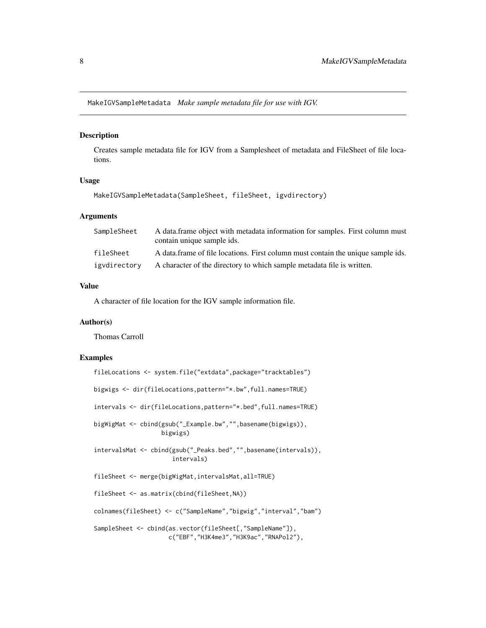<span id="page-7-0"></span>MakeIGVSampleMetadata *Make sample metadata file for use with IGV.*

#### Description

Creates sample metadata file for IGV from a Samplesheet of metadata and FileSheet of file locations.

#### Usage

MakeIGVSampleMetadata(SampleSheet, fileSheet, igvdirectory)

#### Arguments

| SampleSheet  | A data frame object with metadata information for samples. First column must<br>contain unique sample ids. |
|--------------|------------------------------------------------------------------------------------------------------------|
| fileSheet    | A data frame of file locations. First column must contain the unique sample ids.                           |
| igydirectory | A character of the directory to which sample metadata file is written.                                     |

#### Value

A character of file location for the IGV sample information file.

#### Author(s)

Thomas Carroll

#### Examples

```
fileLocations <- system.file("extdata",package="tracktables")
bigwigs <- dir(fileLocations,pattern="*.bw",full.names=TRUE)
intervals <- dir(fileLocations,pattern="*.bed",full.names=TRUE)
bigWigMat <- cbind(gsub("_Example.bw","",basename(bigwigs)),
                   bigwigs)
intervalsMat <- cbind(gsub("_Peaks.bed","",basename(intervals)),
                      intervals)
fileSheet <- merge(bigWigMat,intervalsMat,all=TRUE)
fileSheet <- as.matrix(cbind(fileSheet,NA))
colnames(fileSheet) <- c("SampleName","bigwig","interval","bam")
SampleSheet <- cbind(as.vector(fileSheet[,"SampleName"]),
                     c("EBF","H3K4me3","H3K9ac","RNAPol2"),
```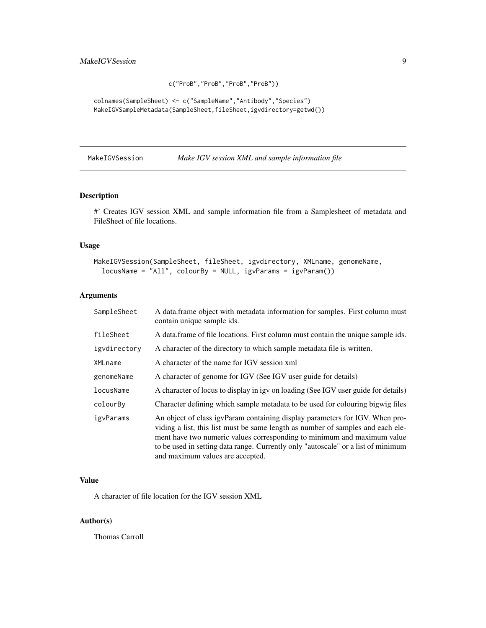```
c("ProB","ProB","ProB","ProB"))
```

```
colnames(SampleSheet) <- c("SampleName","Antibody","Species")
MakeIGVSampleMetadata(SampleSheet,fileSheet,igvdirectory=getwd())
```
MakeIGVSession *Make IGV session XML and sample information file*

#### Description

#' Creates IGV session XML and sample information file from a Samplesheet of metadata and FileSheet of file locations.

#### Usage

```
MakeIGVSession(SampleSheet, fileSheet, igvdirectory, XMLname, genomeName,
  locusName = "All", colourBy = NULL, igvParams = igvParam())
```
#### Arguments

| SampleSheet  | A data frame object with metadata information for samples. First column must<br>contain unique sample ids.                                                                                                                                                                                                                                                          |
|--------------|---------------------------------------------------------------------------------------------------------------------------------------------------------------------------------------------------------------------------------------------------------------------------------------------------------------------------------------------------------------------|
| fileSheet    | A data frame of file locations. First column must contain the unique sample ids.                                                                                                                                                                                                                                                                                    |
| igydirectory | A character of the directory to which sample metadata file is written.                                                                                                                                                                                                                                                                                              |
| XMLname      | A character of the name for IGV session xml                                                                                                                                                                                                                                                                                                                         |
| genomeName   | A character of genome for IGV (See IGV user guide for details)                                                                                                                                                                                                                                                                                                      |
| locusName    | A character of locus to display in igy on loading (See IGV user guide for details)                                                                                                                                                                                                                                                                                  |
| colourBy     | Character defining which sample metadata to be used for colouring bigwig files                                                                                                                                                                                                                                                                                      |
| igvParams    | An object of class igvParam containing display parameters for IGV. When pro-<br>viding a list, this list must be same length as number of samples and each ele-<br>ment have two numeric values corresponding to minimum and maximum value<br>to be used in setting data range. Currently only "autoscale" or a list of minimum<br>and maximum values are accepted. |

#### Value

A character of file location for the IGV session XML

#### Author(s)

Thomas Carroll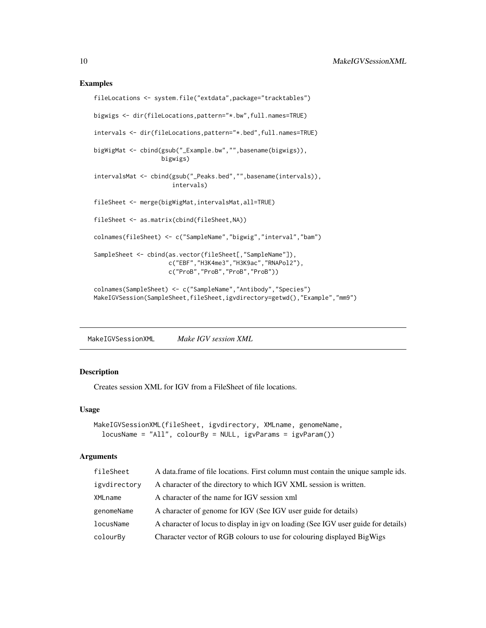#### <span id="page-9-0"></span>Examples

```
fileLocations <- system.file("extdata",package="tracktables")
bigwigs <- dir(fileLocations,pattern="*.bw",full.names=TRUE)
intervals <- dir(fileLocations,pattern="*.bed",full.names=TRUE)
bigWigMat <- cbind(gsub("_Example.bw","",basename(bigwigs)),
                   bigwigs)
intervalsMat <- cbind(gsub("_Peaks.bed","",basename(intervals)),
                      intervals)
fileSheet <- merge(bigWigMat,intervalsMat,all=TRUE)
fileSheet <- as.matrix(cbind(fileSheet,NA))
colnames(fileSheet) <- c("SampleName","bigwig","interval","bam")
SampleSheet <- cbind(as.vector(fileSheet[,"SampleName"]),
                     c("EBF","H3K4me3","H3K9ac","RNAPol2"),
                     c("ProB","ProB","ProB","ProB"))
colnames(SampleSheet) <- c("SampleName","Antibody","Species")
MakeIGVSession(SampleSheet,fileSheet,igvdirectory=getwd(),"Example","mm9")
```
MakeIGVSessionXML *Make IGV session XML*

#### Description

Creates session XML for IGV from a FileSheet of file locations.

#### Usage

```
MakeIGVSessionXML(fileSheet, igvdirectory, XMLname, genomeName,
  locusName = "All", colourBy = NULL, igvParams = igvParam())
```
#### Arguments

| fileSheet    | A data frame of file locations. First column must contain the unique sample ids.   |
|--------------|------------------------------------------------------------------------------------|
| igvdirectory | A character of the directory to which IGV XML session is written.                  |
| XMLname      | A character of the name for IGV session xml                                        |
| genomeName   | A character of genome for IGV (See IGV user guide for details)                     |
| locusName    | A character of locus to display in igy on loading (See IGV user guide for details) |
| colourBy     | Character vector of RGB colours to use for colouring displayed BigWigs             |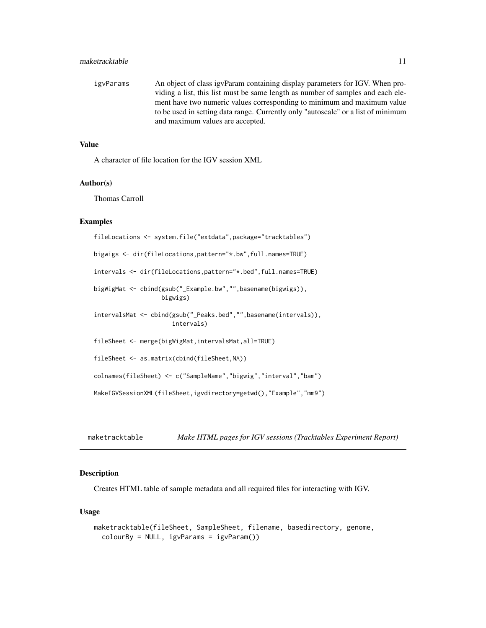#### <span id="page-10-0"></span>maketracktable 11

igvParams An object of class igvParam containing display parameters for IGV. When providing a list, this list must be same length as number of samples and each element have two numeric values corresponding to minimum and maximum value to be used in setting data range. Currently only "autoscale" or a list of minimum and maximum values are accepted.

#### Value

A character of file location for the IGV session XML

#### Author(s)

Thomas Carroll

#### Examples

```
fileLocations <- system.file("extdata",package="tracktables")
bigwigs <- dir(fileLocations,pattern="*.bw",full.names=TRUE)
intervals <- dir(fileLocations,pattern="*.bed",full.names=TRUE)
bigWigMat <- cbind(gsub("_Example.bw","",basename(bigwigs)),
                   bigwigs)
intervalsMat <- cbind(gsub("_Peaks.bed","",basename(intervals)),
                      intervals)
fileSheet <- merge(bigWigMat,intervalsMat,all=TRUE)
fileSheet <- as.matrix(cbind(fileSheet,NA))
colnames(fileSheet) <- c("SampleName","bigwig","interval","bam")
MakeIGVSessionXML(fileSheet,igvdirectory=getwd(),"Example","mm9")
```
maketracktable *Make HTML pages for IGV sessions (Tracktables Experiment Report)*

#### **Description**

Creates HTML table of sample metadata and all required files for interacting with IGV.

#### Usage

```
maketracktable(fileSheet, SampleSheet, filename, basedirectory, genome,
  colourBy = NULL, igvParams = igvParam())
```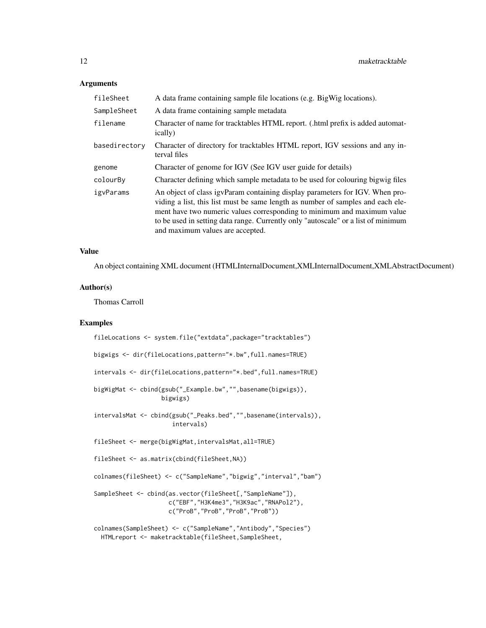#### Arguments

| fileSheet     | A data frame containing sample file locations (e.g. BigWig locations).                                                                                                                                                                                                                                                                                              |
|---------------|---------------------------------------------------------------------------------------------------------------------------------------------------------------------------------------------------------------------------------------------------------------------------------------------------------------------------------------------------------------------|
| SampleSheet   | A data frame containing sample metadata                                                                                                                                                                                                                                                                                                                             |
| filename      | Character of name for tracktables HTML report. (.html prefix is added automat-<br>ically)                                                                                                                                                                                                                                                                           |
| basedirectory | Character of directory for tracktables HTML report, IGV sessions and any in-<br>terval files                                                                                                                                                                                                                                                                        |
| genome        | Character of genome for IGV (See IGV user guide for details)                                                                                                                                                                                                                                                                                                        |
| colourBy      | Character defining which sample metadata to be used for colouring bigwig files                                                                                                                                                                                                                                                                                      |
| igvParams     | An object of class igvParam containing display parameters for IGV. When pro-<br>viding a list, this list must be same length as number of samples and each ele-<br>ment have two numeric values corresponding to minimum and maximum value<br>to be used in setting data range. Currently only "autoscale" or a list of minimum<br>and maximum values are accepted. |

#### Value

An object containing XML document (HTMLInternalDocument,XMLInternalDocument,XMLAbstractDocument)

#### Author(s)

Thomas Carroll

#### Examples

| fileLocations <- system.file("extdata", package="tracktables")                                                                            |
|-------------------------------------------------------------------------------------------------------------------------------------------|
| bigwigs $\le$ - dir(fileLocations, pattern=" $*$ . bw", full. names=TRUE)                                                                 |
| intervals <- dir(fileLocations, pattern="*.bed", full.names=TRUE)                                                                         |
| bigWigMat <- cbind(gsub("_Example.bw","",basename(bigwigs)),<br>bigwigs)                                                                  |
| intervalsMat <- cbind(gsub("_Peaks.bed","",basename(intervals)),<br>intervals)                                                            |
| fileSheet <- merge(bigWigMat,intervalsMat,all=TRUE)                                                                                       |
| $fileSheet \leq as_matrix(cbind(fileSheet, NA))$                                                                                          |
| colnames(fileSheet) <- c("SampleName","bigwig","interval","bam")                                                                          |
| SampleSheet <- cbind(as.vector(fileSheet[,"SampleName"]),<br>c("EBF","H3K4me3","H3K9ac","RNAPol2"),<br>c("ProB", "ProB", "ProB", "ProB")) |
| colnames(SampleSheet) <- c("SampleName","Antibody","Species")<br>HTMLreport <- maketracktable(fileSheet, SampleSheet,                     |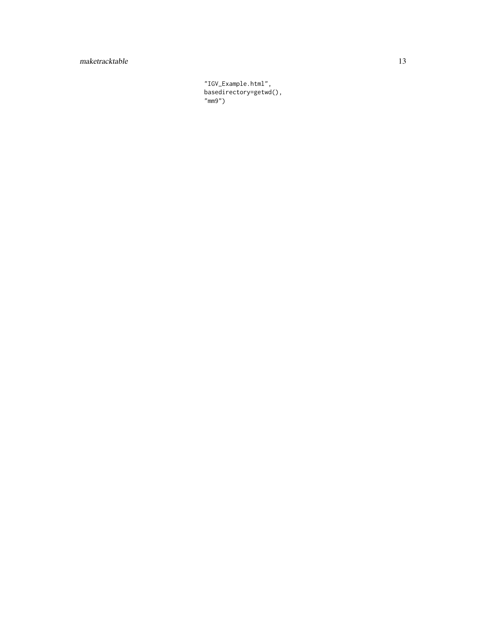#### maketracktable 13

"IGV\_Example.html", basedirectory=getwd(), "mm9")